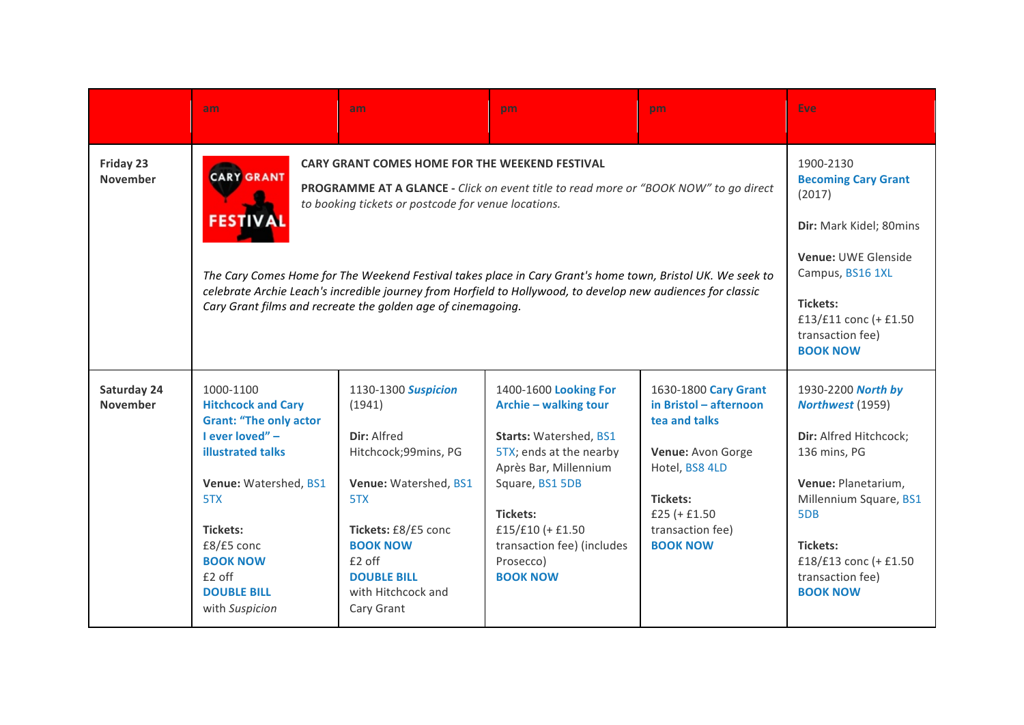|                                | am                                                                                                                                                                                                                                                                                                                                                                                                                                                                                                                                       | am                                                                                                                                                                                                                        | pm.                                                                                                                                                                                                                                                   | pm                                                                                                                                                                         | Eve                                                                                                                                                                                                                  |
|--------------------------------|------------------------------------------------------------------------------------------------------------------------------------------------------------------------------------------------------------------------------------------------------------------------------------------------------------------------------------------------------------------------------------------------------------------------------------------------------------------------------------------------------------------------------------------|---------------------------------------------------------------------------------------------------------------------------------------------------------------------------------------------------------------------------|-------------------------------------------------------------------------------------------------------------------------------------------------------------------------------------------------------------------------------------------------------|----------------------------------------------------------------------------------------------------------------------------------------------------------------------------|----------------------------------------------------------------------------------------------------------------------------------------------------------------------------------------------------------------------|
| Friday 23<br><b>November</b>   | <b>CARY GRANT COMES HOME FOR THE WEEKEND FESTIVAL</b><br><b>CARY GRANT</b><br>PROGRAMME AT A GLANCE - Click on event title to read more or "BOOK NOW" to go direct<br>to booking tickets or postcode for venue locations.<br><b>FESTIV</b><br>The Cary Comes Home for The Weekend Festival takes place in Cary Grant's home town, Bristol UK. We seek to<br>celebrate Archie Leach's incredible journey from Horfield to Hollywood, to develop new audiences for classic<br>Cary Grant films and recreate the golden age of cinemagoing. | 1900-2130<br><b>Becoming Cary Grant</b><br>(2017)<br>Dir: Mark Kidel; 80mins<br>Venue: UWE Glenside<br>Campus, BS16 1XL<br>Tickets:<br>£13/£11 conc (+ £1.50<br>transaction fee)<br><b>BOOK NOW</b>                       |                                                                                                                                                                                                                                                       |                                                                                                                                                                            |                                                                                                                                                                                                                      |
| Saturday 24<br><b>November</b> | 1000-1100<br><b>Hitchcock and Cary</b><br><b>Grant: "The only actor</b><br>I ever loved" -<br><b>illustrated talks</b><br>Venue: Watershed, BS1<br>5TX<br><b>Tickets:</b><br>£8/£5 conc<br><b>BOOK NOW</b><br>£2 off<br><b>DOUBLE BILL</b><br>with Suspicion                                                                                                                                                                                                                                                                             | 1130-1300 <b>Suspicion</b><br>(1941)<br>Dir: Alfred<br>Hitchcock;99mins, PG<br>Venue: Watershed, BS1<br>5TX<br>Tickets: £8/£5 conc<br><b>BOOK NOW</b><br>£2 off<br><b>DOUBLE BILL</b><br>with Hitchcock and<br>Cary Grant | 1400-1600 Looking For<br>Archie - walking tour<br>Starts: Watershed, BS1<br>5TX; ends at the nearby<br>Après Bar, Millennium<br>Square, BS1 5DB<br><b>Tickets:</b><br>£15/£10 $(+ 1.50$<br>transaction fee) (includes<br>Prosecco)<br><b>BOOK NOW</b> | 1630-1800 Cary Grant<br>in Bristol - afternoon<br>tea and talks<br>Venue: Avon Gorge<br>Hotel, BS8 4LD<br>Tickets:<br>£25 $(+ 1.50$<br>transaction fee)<br><b>BOOK NOW</b> | 1930-2200 North by<br>Northwest (1959)<br>Dir: Alfred Hitchcock;<br>136 mins, PG<br>Venue: Planetarium,<br>Millennium Square, BS1<br>5DB<br>Tickets:<br>£18/£13 conc (+ £1.50<br>transaction fee)<br><b>BOOK NOW</b> |